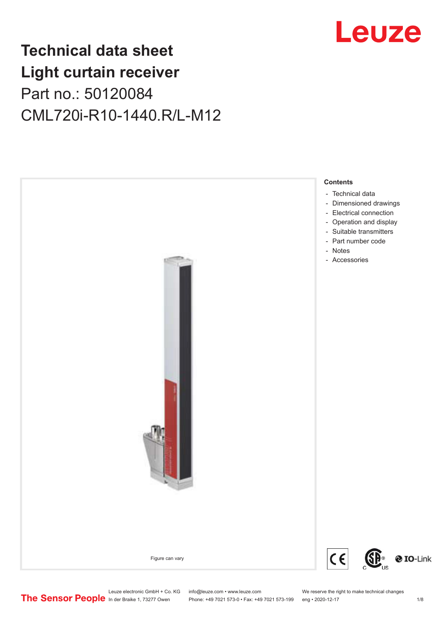## Leuze

## **Technical data sheet Light curtain receiver** Part no.: 50120084 CML720i-R10-1440.R/L-M12



Leuze electronic GmbH + Co. KG info@leuze.com • www.leuze.com We reserve the right to make technical changes<br>
The Sensor People in der Braike 1, 73277 Owen Phone: +49 7021 573-0 • Fax: +49 7021 573-199 eng • 2020-12-17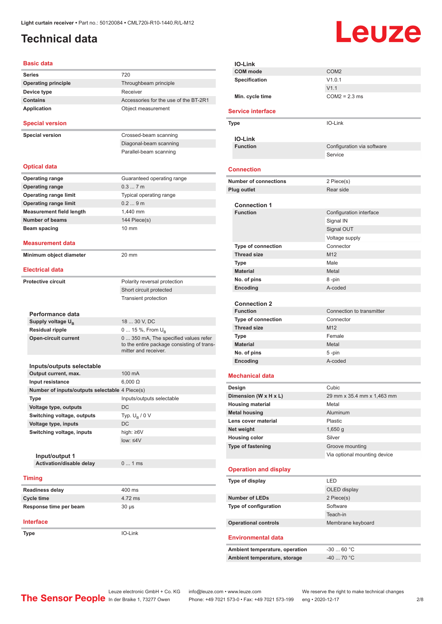### <span id="page-1-0"></span>**Technical data**

# Leuze

#### **Basic data Series** 720 **Operating principle** Throughbeam principle **Device type** Receiver **Contains Contains Accessories** for the use of the BT-2R1 **Application** Object measurement **Special version Special version** Crossed-beam scanning Diagonal-beam scanning Parallel-beam scanning **Optical data Operating range** Guaranteed operating range **Operating range** 0.3 ... 7 m **Operating range limit** Typical operating range **Operating range limit** 0.2 ... 9 m **Measurement field length** 1,440 mm **Number of beams** 144 Piece(s) **Beam spacing 10 mm Measurement data Minimum object diameter** 20 mm **Electrical data Protective circuit** Polarity reversal protection Short circuit protected Transient protection **Performance data** Supply voltage U<sub>B</sub><br>Residual ripple 18 ... 30 V, DC 0 ... 15 %, From U<sub>B</sub> **Open-circuit current** 0 ... 350 mA, The specified values refer to the entire package consisting of transmitter and receiver. **Inputs/outputs selectable Output current, max.** 100 mA **Input resistance** 6,000 Ω **Number of inputs/outputs selectable** 4 Piece(s) **Type** Inputs/outputs selectable **Voltage type, outputs** DC **Switching voltage, outputs** Typ.  $U_B / 0 V$ **Voltage type, inputs** DC **Switching voltage, inputs** high: ≥6V low: ≤4V **Input/output 1 Activation/disable delay** 0 ... 1 ms **Timing Readiness delay** 400 ms **Cycle time** 4.72 ms

**Interface**

**Type** IO-Link

| <b>IO-Link</b>                    |                              |  |
|-----------------------------------|------------------------------|--|
| <b>COM</b> mode                   | COM <sub>2</sub>             |  |
| <b>Specification</b>              | V1.0.1                       |  |
|                                   | V1.1                         |  |
| Min. cycle time                   | $COM2 = 2.3$ ms              |  |
| <b>Service interface</b>          |                              |  |
| Type                              | IO-Link                      |  |
|                                   |                              |  |
| <b>IO-Link</b><br><b>Function</b> | Configuration via software   |  |
|                                   | Service                      |  |
|                                   |                              |  |
| <b>Connection</b>                 |                              |  |
| <b>Number of connections</b>      | 2 Piece(s)                   |  |
| <b>Plug outlet</b>                | Rear side                    |  |
|                                   |                              |  |
| <b>Connection 1</b>               |                              |  |
| <b>Function</b>                   | Configuration interface      |  |
|                                   | Signal IN                    |  |
|                                   | Signal OUT                   |  |
|                                   | Voltage supply               |  |
| <b>Type of connection</b>         | Connector<br>M <sub>12</sub> |  |
| <b>Thread size</b>                | Male                         |  |
| <b>Type</b><br><b>Material</b>    | Metal                        |  |
| No. of pins                       | 8-pin                        |  |
| Encoding                          | A-coded                      |  |
|                                   |                              |  |
| <b>Connection 2</b>               |                              |  |
| <b>Function</b>                   | Connection to transmitter    |  |
| <b>Type of connection</b>         | Connector                    |  |
| <b>Thread size</b>                | M <sub>12</sub>              |  |
| Type                              | Female                       |  |
| <b>Material</b>                   | Metal                        |  |
| No. of pins                       | 5-pin                        |  |
| Encoding                          | A-coded                      |  |
| <b>Mechanical data</b>            |                              |  |
| Design                            | Cubic                        |  |
| Dimension (W x H x L)             | 29 mm x 35.4 mm x 1,463 mm   |  |
| <b>Housing material</b>           | Metal                        |  |
| <b>Metal housing</b>              | Aluminum                     |  |
| Lens cover material               | Plastic                      |  |
| Net weight                        | $1,650$ g                    |  |
| <b>Housing color</b>              | Silver                       |  |
| Type of fastening                 | Groove mounting              |  |
|                                   | Via optional mounting device |  |
| <b>Operation and display</b>      |                              |  |
|                                   | LED                          |  |
| Type of display                   |                              |  |
| <b>Number of LEDs</b>             | OLED display<br>2 Piece(s)   |  |
| Type of configuration             | Software                     |  |
|                                   | Teach-in                     |  |
| <b>Operational controls</b>       | Membrane keyboard            |  |
|                                   |                              |  |
| <b>Environmental data</b>         |                              |  |
| Ambient temperature, operation    | $-3060 °C$                   |  |
| Ambient temperature, storage      | $-4070 °C$                   |  |
|                                   |                              |  |

Leuze electronic GmbH + Co. KG info@leuze.com • www.leuze.com We reserve the right to make technical changes<br>
The Sensor People in der Braike 1, 73277 Owen Phone: +49 7021 573-0 • Fax: +49 7021 573-199 eng • 2020-12-17

**Response time per beam** 30 µs

Phone: +49 7021 573-0 • Fax: +49 7021 573-199 eng • 2020-12-17 2/8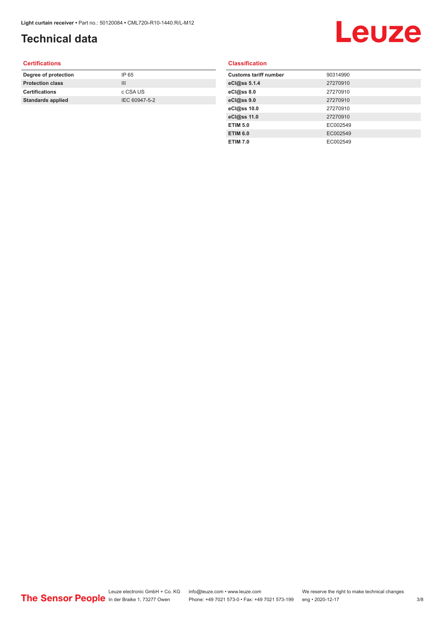### **Technical data**

# Leuze

#### **Certifications**

| Degree of protection     | IP 65         |
|--------------------------|---------------|
| <b>Protection class</b>  | Ш             |
| <b>Certifications</b>    | c CSA US      |
| <b>Standards applied</b> | IEC 60947-5-2 |
|                          |               |

#### **Classification**

| <b>Customs tariff number</b> | 90314990 |
|------------------------------|----------|
| eCl@ss 5.1.4                 | 27270910 |
| eCl@ss 8.0                   | 27270910 |
| eCl@ss 9.0                   | 27270910 |
| eCl@ss 10.0                  | 27270910 |
| eCl@ss 11.0                  | 27270910 |
| <b>ETIM 5.0</b>              | EC002549 |
| <b>ETIM 6.0</b>              | EC002549 |
| <b>ETIM 7.0</b>              | EC002549 |
|                              |          |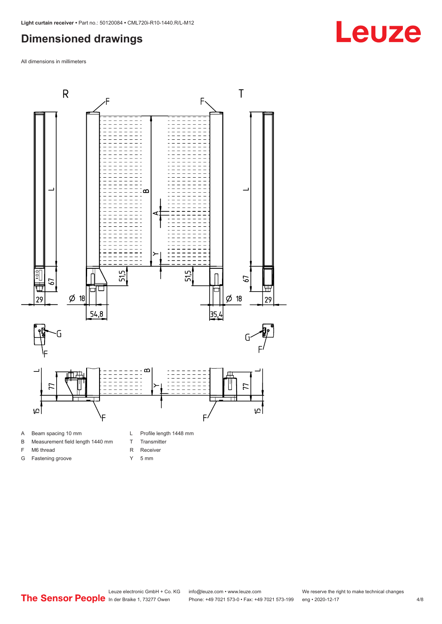### <span id="page-3-0"></span>**Dimensioned drawings**

All dimensions in millimeters



- 
- B Measurement field length 1440 mm
- F M6 thread
- G Fastening groove
- 
- T Transmitter
- R Receiver
- Y 5 mm

**Leuze**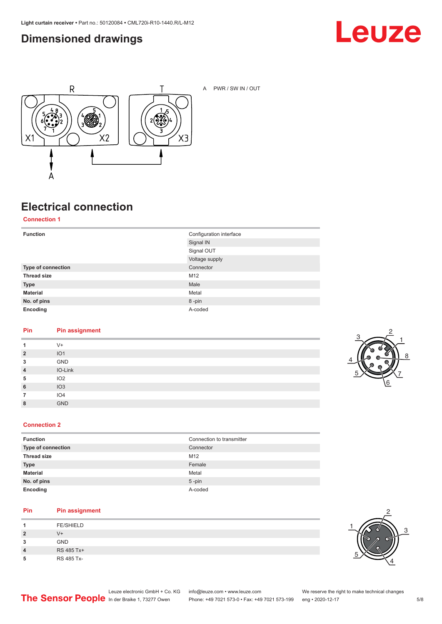### <span id="page-4-0"></span>**Dimensioned drawings**





A PWR / SW IN / OUT

### **Electrical connection**

**Connection 1**

| <b>Function</b>    | Configuration interface |
|--------------------|-------------------------|
|                    | Signal IN               |
|                    | Signal OUT              |
|                    | Voltage supply          |
| Type of connection | Connector               |
| <b>Thread size</b> | M12                     |
| <b>Type</b>        | Male                    |
| <b>Material</b>    | Metal                   |
| No. of pins        | 8-pin                   |
| Encoding           | A-coded                 |

#### **Pin Pin assignment**

| 1              | $V +$           |
|----------------|-----------------|
| $\overline{2}$ | IO1             |
| 3              | GND             |
| $\overline{4}$ | IO-Link         |
| 5              | IO2             |
| 6              | IO3             |
|                | IO <sub>4</sub> |
| 8              | <b>GND</b>      |



#### **Connection 2**

| <b>Function</b>    | Connection to transmitter |
|--------------------|---------------------------|
| Type of connection | Connector                 |
| <b>Thread size</b> | M <sub>12</sub>           |
| <b>Type</b>        | Female                    |
| <b>Material</b>    | Metal                     |
| No. of pins        | $5$ -pin                  |
| Encoding           | A-coded                   |

#### **Pin Pin assignment**

|   | <b>FE/SHIELD</b> |
|---|------------------|
| 2 | $V +$            |
| 3 | <b>GND</b>       |
| 4 | RS 485 Tx+       |
| 5 | RS 485 Tx-       |

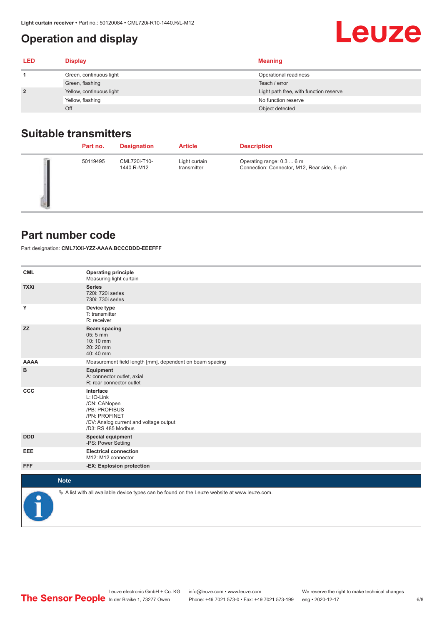### <span id="page-5-0"></span>**Operation and display**

| <b>LED</b>     | <b>Display</b>           | <b>Meaning</b>                         |
|----------------|--------------------------|----------------------------------------|
|                | Green, continuous light  | Operational readiness                  |
|                | Green, flashing          | Teach / error                          |
| $\overline{2}$ | Yellow, continuous light | Light path free, with function reserve |
|                | Yellow, flashing         | No function reserve                    |
|                | Off                      | Object detected                        |

### **Suitable transmitters**

| Part no. | <b>Designation</b>         | <b>Article</b>               | <b>Description</b>                                                        |
|----------|----------------------------|------------------------------|---------------------------------------------------------------------------|
| 50119495 | CML720i-T10-<br>1440.R-M12 | Light curtain<br>transmitter | Operating range: 0.3  6 m<br>Connection: Connector, M12, Rear side, 5-pin |

#### **Part number code**

Part designation: **CML7XXi-YZZ-AAAA.BCCCDDD-EEEFFF**

| <b>CML</b>  | <b>Operating principle</b><br>Measuring light curtain                                                                                     |
|-------------|-------------------------------------------------------------------------------------------------------------------------------------------|
| 7XXi        | <b>Series</b><br>720i: 720i series<br>730i: 730i series                                                                                   |
| Υ           | Device type<br>T: transmitter<br>R: receiver                                                                                              |
| <b>ZZ</b>   | <b>Beam spacing</b><br>$05:5$ mm<br>10:10 mm<br>20:20 mm<br>40:40 mm                                                                      |
| <b>AAAA</b> | Measurement field length [mm], dependent on beam spacing                                                                                  |
| в           | Equipment<br>A: connector outlet, axial<br>R: rear connector outlet                                                                       |
| CCC         | Interface<br>L: IO-Link<br>/CN: CANopen<br>/PB: PROFIBUS<br>/PN: PROFINET<br>/CV: Analog current and voltage output<br>/D3: RS 485 Modbus |
| <b>DDD</b>  | <b>Special equipment</b><br>-PS: Power Setting                                                                                            |
| <b>EEE</b>  | <b>Electrical connection</b><br>M12: M12 connector                                                                                        |
| <b>FFF</b>  | -EX: Explosion protection                                                                                                                 |
|             | <b>Note</b>                                                                                                                               |
| P           | $\&$ A list with all available device types can be found on the Leuze website at www.leuze.com.                                           |

#### 6/8

**Leuze**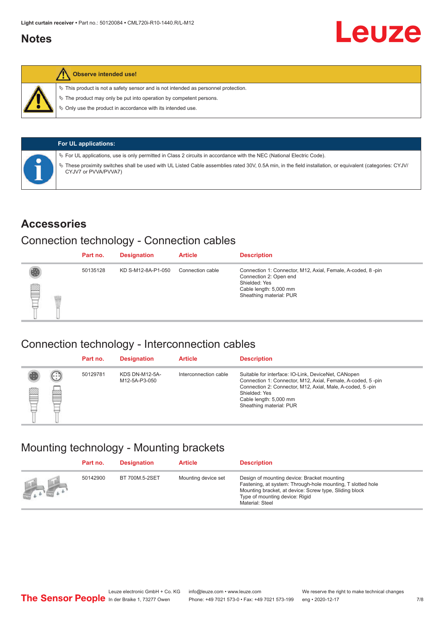#### <span id="page-6-0"></span>**Notes**



#### **Observe intended use!**

 $\%$  This product is not a safety sensor and is not intended as personnel protection.

 $\%$  The product may only be put into operation by competent persons.

 $\%$  Only use the product in accordance with its intended use.

| <b>For UL applications:</b>                                                                                                                                                       |
|-----------------------------------------------------------------------------------------------------------------------------------------------------------------------------------|
| $\%$ For UL applications, use is only permitted in Class 2 circuits in accordance with the NEC (National Electric Code).                                                          |
| ∜ These proximity switches shall be used with UL Listed Cable assemblies rated 30V, 0.5A min, in the field installation, or equivalent (categories: CYJV/<br>CYJV7 or PVVA/PVVA7) |

#### **Accessories**

#### Connection technology - Connection cables

|   | Part no. | <b>Designation</b> | <b>Article</b>   | <b>Description</b>                                                                                                                                          |
|---|----------|--------------------|------------------|-------------------------------------------------------------------------------------------------------------------------------------------------------------|
| § | 50135128 | KD S-M12-8A-P1-050 | Connection cable | Connection 1: Connector, M12, Axial, Female, A-coded, 8-pin<br>Connection 2: Open end<br>Shielded: Yes<br>Cable length: 5,000 mm<br>Sheathing material: PUR |

#### Connection technology - Interconnection cables

|   |                      | Part no. | <b>Designation</b>                     | <b>Article</b>        | <b>Description</b>                                                                                                                                                                                                                                    |
|---|----------------------|----------|----------------------------------------|-----------------------|-------------------------------------------------------------------------------------------------------------------------------------------------------------------------------------------------------------------------------------------------------|
| ▤ | $(\cdot;\cdot)$<br>e | 50129781 | <b>KDS DN-M12-5A-</b><br>M12-5A-P3-050 | Interconnection cable | Suitable for interface: IO-Link, DeviceNet, CANopen<br>Connection 1: Connector, M12, Axial, Female, A-coded, 5-pin<br>Connection 2: Connector, M12, Axial, Male, A-coded, 5-pin<br>Shielded: Yes<br>Cable length: 5,000 mm<br>Sheathing material: PUR |

#### Mounting technology - Mounting brackets

|                                 | Part no. | <b>Designation</b> | <b>Article</b>      | <b>Description</b>                                                                                                                                                                                                        |
|---------------------------------|----------|--------------------|---------------------|---------------------------------------------------------------------------------------------------------------------------------------------------------------------------------------------------------------------------|
| $\frac{1}{2}$ and $\frac{1}{2}$ | 50142900 | BT 700M.5-2SET     | Mounting device set | Design of mounting device: Bracket mounting<br>Fastening, at system: Through-hole mounting, T slotted hole<br>Mounting bracket, at device: Screw type, Sliding block<br>Type of mounting device: Rigid<br>Material: Steel |

Leuze